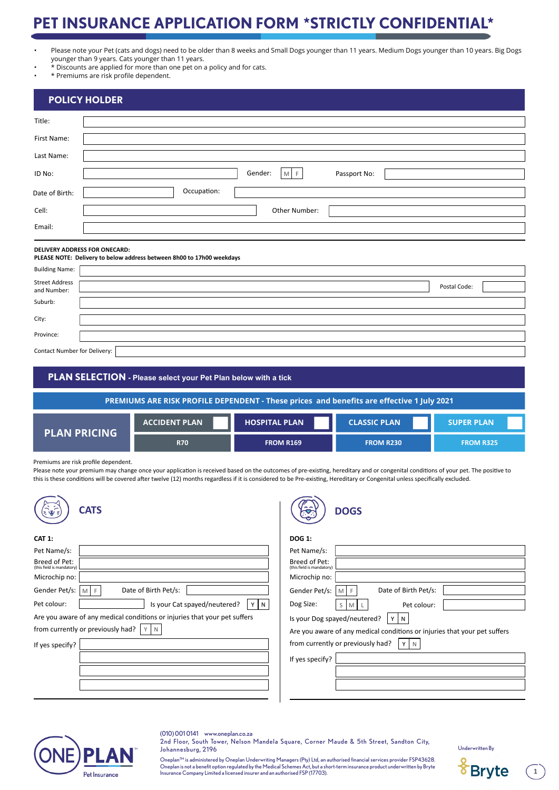# **PET INSURANCE APPLICATION FORM \*STRICTLY CONFIDENTIAL\***

- Please note your Pet (cats and dogs) need to be older than 8 weeks and Small Dogs younger than 11 years. Medium Dogs younger than 10 years. Big Dogs younger than 9 years. Cats younger than 11 years.
- \* Discounts are applied for more than one pet on a policy and for cats.
- \* Premiums are risk profile dependent.

| <b>POLICY HOLDER</b>                                                                                          |                                  |  |  |  |
|---------------------------------------------------------------------------------------------------------------|----------------------------------|--|--|--|
| Title:                                                                                                        |                                  |  |  |  |
| First Name:                                                                                                   |                                  |  |  |  |
| Last Name:                                                                                                    |                                  |  |  |  |
| ID No:                                                                                                        | Gender:<br>$M$ F<br>Passport No: |  |  |  |
| Date of Birth:                                                                                                | Occupation:                      |  |  |  |
| Cell:                                                                                                         | Other Number:                    |  |  |  |
| Email:                                                                                                        |                                  |  |  |  |
| <b>DELIVERY ADDRESS FOR ONECARD:</b><br>PLEASE NOTE: Delivery to below address between 8h00 to 17h00 weekdays |                                  |  |  |  |
| <b>Building Name:</b>                                                                                         |                                  |  |  |  |
| <b>Street Address</b><br>and Number:                                                                          | Postal Code:                     |  |  |  |
| Suburb:                                                                                                       |                                  |  |  |  |
| City:                                                                                                         |                                  |  |  |  |
| Province:                                                                                                     |                                  |  |  |  |
| Contact Number for Delivery:                                                                                  |                                  |  |  |  |

| PLAN SELECTION - Please select your Pet Plan below with a tick                             |                      |                      |                     |                   |  |  |
|--------------------------------------------------------------------------------------------|----------------------|----------------------|---------------------|-------------------|--|--|
| PREMIUMS ARE RISK PROFILE DEPENDENT - These prices and benefits are effective 1 July 2021, |                      |                      |                     |                   |  |  |
| <b>PLAN PRICING</b>                                                                        | <b>ACCIDENT PLAN</b> | <b>HOSPITAL PLAN</b> | <b>CLASSIC PLAN</b> | <b>SUPER PLAN</b> |  |  |
|                                                                                            | <b>R70</b>           | <b>FROM R169</b>     | <b>FROM R230</b>    | <b>FROM R325</b>  |  |  |

Premiums are risk profile dependent.

Please note your premium may change once your application is received based on the outcomes of pre-existing, hereditary and or congenital conditions of your pet. The positive to this is these conditions will be covered after twelve (12) months regardless if it is considered to be Pre-existing, Hereditary or Congenital unless specifically excluded.

| <b>CATS</b><br>း မွာ ခ                                                    | $\sim$ $\sim$<br><b>DOGS</b><br><b>REGISTER</b>                           |
|---------------------------------------------------------------------------|---------------------------------------------------------------------------|
| <b>CAT 1:</b>                                                             | <b>DOG 1:</b>                                                             |
| Pet Name/s:                                                               | Pet Name/s:                                                               |
| Breed of Pet:<br>(this field is mandatory)                                | Breed of Pet:<br>(this field is mandatory)                                |
| Microchip no:                                                             | Microchip no:                                                             |
| Date of Birth Pet/s:<br>Gender Pet/s:<br>MF                               | Date of Birth Pet/s:<br>Gender Pet/s:<br>M F                              |
| Is your Cat spayed/neutered?<br>Pet colour:<br>YN                         | Dog Size:<br>Pet colour:<br>$S$ M                                         |
| Are you aware of any medical conditions or injuries that your pet suffers | Is your Dog spayed/neutered?<br>YN                                        |
| from currently or previously had?                                         | Are you aware of any medical conditions or injuries that your pet suffers |
| If yes specify?                                                           | from currently or previously had?<br>Y N                                  |
|                                                                           | If yes specify?                                                           |
|                                                                           |                                                                           |
|                                                                           |                                                                           |
|                                                                           |                                                                           |



(010) 001 0141 www.oneplan.co.za 2nd Floor, South Tower, Nelson Mandela Square, Corner Maude & 5th Street, Sandton City, Johannesburg, 2196

Underwritten By

Oneplan™ is administered by Oneplan Underwriting Managers (Pty) Ltd, an authorised financial services provider FSP43628.<br>Oneplan is not a benefit option regulated by the Medical Schemes Act, but a short-term insurance pro Insurance Company Limited a licensed insurer and an authorised FSP (17703).



 $\binom{1}{1}$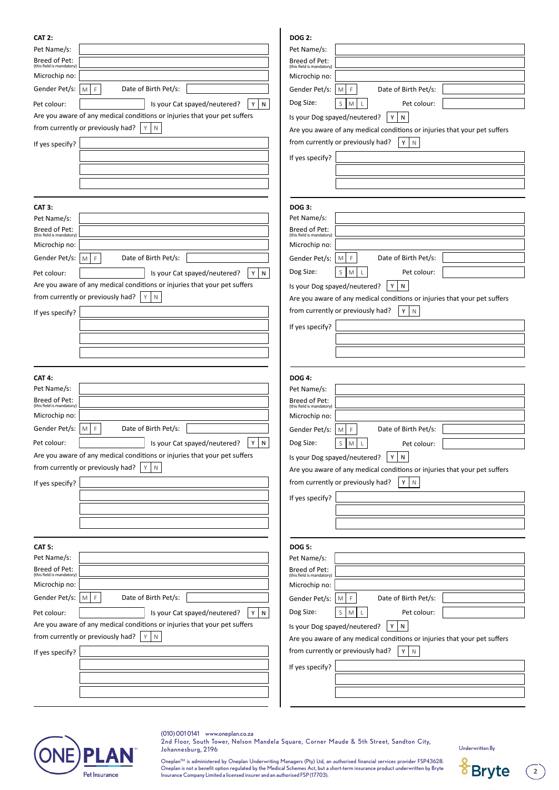| <b>CAT 2:</b>                                                             | <b>DOG 2:</b>                                                             |
|---------------------------------------------------------------------------|---------------------------------------------------------------------------|
| Pet Name/s:                                                               | Pet Name/s:                                                               |
| Breed of Pet:<br>(this field is mandatory)                                | Breed of Pet:                                                             |
| Microchip no:                                                             | (this field is mandatory)<br>Microchip no:                                |
| Gender Pet/s:<br>Date of Birth Pet/s:<br>F.<br>M.                         | Date of Birth Pet/s:<br>Gender Pet/s:<br>E<br>M                           |
| N<br>Pet colour:<br>Is your Cat spayed/neutered?<br>Y                     | Dog Size:<br>S<br>Pet colour:<br>M                                        |
| Are you aware of any medical conditions or injuries that your pet suffers | Is your Dog spayed/neutered?<br>N<br>Υ                                    |
| from currently or previously had?<br>Y.<br>$\mathsf{N}$                   | Are you aware of any medical conditions or injuries that your pet suffers |
| If yes specify?                                                           | from currently or previously had?<br>Y<br>$\mathbb N$                     |
|                                                                           | If yes specify?                                                           |
|                                                                           |                                                                           |
|                                                                           |                                                                           |
|                                                                           |                                                                           |
| <b>CAT 3:</b>                                                             | <b>DOG 3:</b>                                                             |
| Pet Name/s:                                                               | Pet Name/s:                                                               |
| Breed of Pet:<br>(this field is mandatory)                                | Breed of Pet:<br>(this field is mandatory)                                |
| Microchip no:                                                             | Microchip no:                                                             |
| Date of Birth Pet/s:<br>Gender Pet/s:<br>F.<br>M.                         | Date of Birth Pet/s:<br>Gender Pet/s:<br>F<br>M                           |
| Pet colour:<br>Is your Cat spayed/neutered?<br>Y<br>$\mathsf{N}$          | Dog Size:<br>Pet colour:<br>S<br>M                                        |
| Are you aware of any medical conditions or injuries that your pet suffers | Is your Dog spayed/neutered?<br>Υ<br>N                                    |
| from currently or previously had?<br>Y<br>$\mathsf{N}$                    | Are you aware of any medical conditions or injuries that your pet suffers |
| If yes specify?                                                           | from currently or previously had?<br>Y<br>$\mathbb N$                     |
|                                                                           | If yes specify?                                                           |
|                                                                           |                                                                           |
|                                                                           |                                                                           |
|                                                                           |                                                                           |
|                                                                           |                                                                           |
| <b>CAT 4:</b>                                                             | <b>DOG 4:</b>                                                             |
| Pet Name/s:                                                               | Pet Name/s:                                                               |
| Breed of Pet:<br>(this field is mandatory)                                | Breed of Pet:<br>(this field is mandatory)                                |
| Microchip no:                                                             | Microchip no:                                                             |
| Gender Pet/s:<br>Date of Birth Pet/s:<br>F.<br>M                          | Date of Birth Pet/s:<br>Gender Pet/s:<br>F<br>M                           |
| N<br>Y<br>Is your Cat spayed/neutered?<br>Pet colour:                     | Dog Size:<br>$S$ M<br>Pet colour:                                         |
| Are you aware of any medical conditions or injuries that your pet suffers | YN<br>Is your Dog spayed/neutered?                                        |
| from currently or previously had? $ Y N$                                  | Are you aware of any medical conditions or injuries that your pet suffers |
| If yes specify?                                                           | from currently or previously had?<br>Y.<br>$\mathbb N$                    |
|                                                                           | If yes specify?                                                           |
|                                                                           |                                                                           |
|                                                                           |                                                                           |
|                                                                           |                                                                           |
| CAT 5:                                                                    | <b>DOG 5:</b>                                                             |
| Pet Name/s:                                                               | Pet Name/s:                                                               |
| Breed of Pet:<br>(this field is mandatory)                                | Breed of Pet:<br>(this field is mandatory)                                |
| Microchip no:                                                             | Microchip no:                                                             |
| Gender Pet/s:<br>Date of Birth Pet/s:<br>$\mathbb F$<br>M                 | Date of Birth Pet/s:<br>Gender Pet/s:<br>F<br>$\mathsf{M}$                |
| Is your Cat spayed/neutered?<br>Pet colour:<br>Y<br>N                     | Dog Size:<br>S<br>M<br>Pet colour:                                        |
| Are you aware of any medical conditions or injuries that your pet suffers | Is your Dog spayed/neutered?<br>N<br>Y                                    |
| from currently or previously had?<br>Y<br>$\mathsf N$                     | Are you aware of any medical conditions or injuries that your pet suffers |
| If yes specify?                                                           | from currently or previously had?<br>Y.<br>$\mathsf{N}$                   |
|                                                                           | If yes specify?                                                           |
|                                                                           |                                                                           |



(010) 001 0141 www.oneplan.co.za 2nd Floor, South Tower, Nelson Mandela Square, Corner Maude & 5th Street, Sandton City, Johannesburg, 2196

Underwritten By

Oneplan™ is administered by Oneplan Underwriting Managers (Pty) Ltd, an authorised financial services provider FSP43628.<br>Oneplan is not a benefit option regulated by the Medical Schemes Act, but a short-term insurance pro

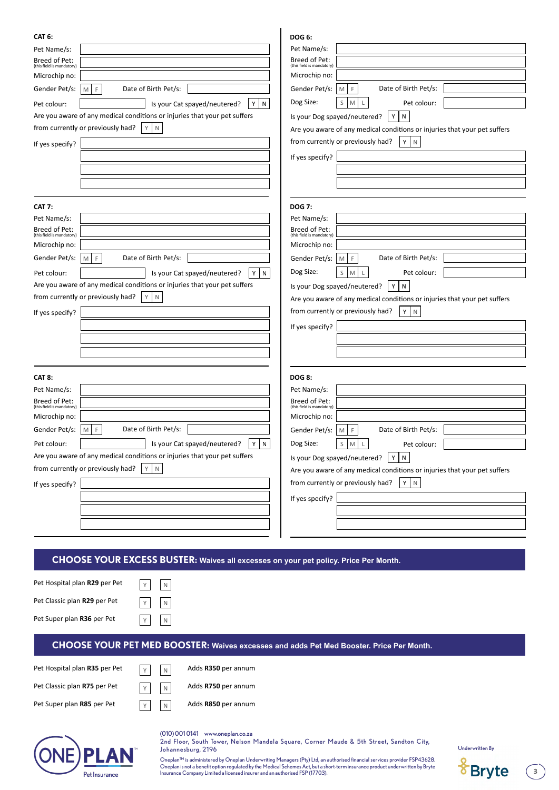| (this field is mandatory)<br>(this field is mandatory)<br>Microchip no:<br>Microchip no:<br>Date of Birth Pet/s:<br>Date of Birth Pet/s:<br>Gender Pet/s:<br>M<br>F<br>Gender Pet/s:<br>$\blacksquare$<br>F.<br>Dog Size:<br>S<br>Pet colour:<br>M<br>${\mathbb N}$<br>Pet colour:<br>Is your Cat spayed/neutered?<br>Υ<br>Are you aware of any medical conditions or injuries that your pet suffers<br>Is your Dog spayed/neutered?<br>Y<br>$\mathsf{N}$<br>from currently or previously had?<br>Y<br>$\mathsf N$<br>Are you aware of any medical conditions or injuries that your pet suffers<br>from currently or previously had?<br>Y<br>$\mathbb N$<br>If yes specify?<br>If yes specify?                                                                    |
|-------------------------------------------------------------------------------------------------------------------------------------------------------------------------------------------------------------------------------------------------------------------------------------------------------------------------------------------------------------------------------------------------------------------------------------------------------------------------------------------------------------------------------------------------------------------------------------------------------------------------------------------------------------------------------------------------------------------------------------------------------------------|
| <b>DOG 7:</b><br><b>CAT 7:</b><br>Pet Name/s:<br>Pet Name/s:<br>Breed of Pet:<br>Breed of Pet:<br>(this field is mandatory)<br>(this field is mandatory)<br>Microchip no:<br>Microchip no:<br>Date of Birth Pet/s:<br>Date of Birth Pet/s:<br>Gender Pet/s:<br>Gender Pet/s:<br>M<br>F<br>M<br>F<br>Dog Size:<br>Pet colour:<br>Pet colour:<br>Is your Cat spayed/neutered?<br>S<br>M<br>Y.<br>N<br>Are you aware of any medical conditions or injuries that your pet suffers<br>${\sf N}$<br>Is your Dog spayed/neutered?<br>Y<br>from currently or previously had?<br>Y<br>$\mathsf N$<br>Are you aware of any medical conditions or injuries that your pet suffers<br>from currently or previously had?<br>Υ<br>N<br>If yes specify?<br>If yes specify?        |
| <b>CAT 8:</b><br><b>DOG 8:</b><br>Pet Name/s:<br>Pet Name/s:<br>Breed of Pet:<br>Breed of Pet:<br>(this field is mandatory)<br>(this field is mandatory)<br>Microchip no:<br>Microchip no:<br>Date of Birth Pet/s:<br>Gender Pet/s:<br>E<br>Date of Birth Pet/s:<br>Gender Pet/s:<br>F<br>M<br>M<br>Dog Size:<br>Pet colour:<br>Is your Cat spayed/neutered?<br>Y<br>${\sf N}$<br>S<br>M<br>Pet colour:<br>Are you aware of any medical conditions or injuries that your pet suffers<br>Is your Dog spayed/neutered?<br>Y<br>${\sf N}$<br>from currently or previously had?<br>$\mathbb N$<br>Y<br>Are you aware of any medical conditions or injuries that your pet suffers<br>from currently or previously had?<br>Y<br>N<br>If yes specify?<br>If yes specify? |
| <b>CHOOSE YOUR EXCESS BUSTER: Waives all excesses on your pet policy. Price Per Month.</b><br>Pet Hospital plan R29 per Pet<br>N<br>Pet Classic plan R29 per Pet<br>N<br>Pet Super plan R36 per Pet<br>N<br><b>CHOOSE YOUR PET MED BOOSTER: Waives excesses and adds Pet Med Booster. Price Per Month.</b>                                                                                                                                                                                                                                                                                                                                                                                                                                                        |
| Pet Hospital plan R35 per Pet<br>Adds R350 per annum<br>N<br>Pet Classic plan R75 per Pet<br>Adds R750 per annum<br>N<br>Pet Super plan R85 per Pet<br>Adds R850 per annum<br>N<br>(010) 001 0141 www.oneplan.co.za<br>2nd Floor, South Tower, Nelson Mandela Square, Corner Maude & 5th Street, Sandton City,<br><b>Underwritten By</b><br>Johannesburg, 2196<br>Oneplan <sup>™</sup> is administered by Oneplan Underwriting Managers (Pty) Ltd, an authorised financial services provider FSP43628.<br>Oneplan is not a benefit option regulated by the Medical Schemes Act, but a short-term insurance product underwritten by Bryte<br><b>Bryte</b>                                                                                                          |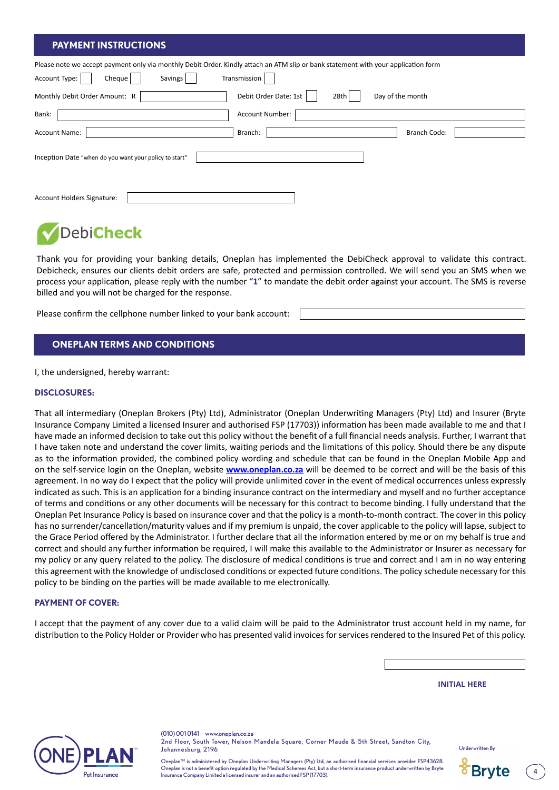# **PAYMENT INSTRUCTIONS**

| Please note we accept payment only via monthly Debit Order. Kindly attach an ATM slip or bank statement with your application form |                                                   |  |  |  |  |
|------------------------------------------------------------------------------------------------------------------------------------|---------------------------------------------------|--|--|--|--|
| Account Type:<br>Savings<br>Cheque                                                                                                 | Transmission                                      |  |  |  |  |
| Monthly Debit Order Amount: R                                                                                                      | Debit Order Date: 1st<br>Day of the month<br>28th |  |  |  |  |
| Bank:                                                                                                                              | Account Number:                                   |  |  |  |  |
| <b>Account Name:</b>                                                                                                               | <b>Branch Code:</b><br>Branch:                    |  |  |  |  |
| Inception Date "when do you want your policy to start"                                                                             |                                                   |  |  |  |  |
|                                                                                                                                    |                                                   |  |  |  |  |
| Account Holders Signature:                                                                                                         |                                                   |  |  |  |  |

# DebiCheck

Thank you for providing your banking details, Oneplan has implemented the DebiCheck approval to validate this contract. Debicheck, ensures our clients debit orders are safe, protected and permission controlled. We will send you an SMS when we process your application, please reply with the number "**1**" to mandate the debit order against your account. The SMS is reverse billed and you will not be charged for the response.

Please confirm the cellphone number linked to your bank account:

# **ONEPLAN TERMS AND CONDITIONS**

I, the undersigned, hereby warrant:

#### **DISCLOSURES:**

That all intermediary (Oneplan Brokers (Pty) Ltd), Administrator (Oneplan Underwriting Managers (Pty) Ltd) and Insurer (Bryte Insurance Company Limited a licensed Insurer and authorised FSP (17703)) information has been made available to me and that I have made an informed decision to take out this policy without the benefit of a full financial needs analysis. Further, I warrant that I have taken note and understand the cover limits, waiting periods and the limitations of this policy. Should there be any dispute as to the information provided, the combined policy wording and schedule that can be found in the Oneplan Mobile App and on the self-service login on the Oneplan, website **[www.oneplan.co.za](http://www.oneplan.co.za)** will be deemed to be correct and will be the basis of this agreement. In no way do I expect that the policy will provide unlimited cover in the event of medical occurrences unless expressly indicated as such. This is an application for a binding insurance contract on the intermediary and myself and no further acceptance of terms and conditions or any other documents will be necessary for this contract to become binding. I fully understand that the Oneplan Pet Insurance Policy is based on insurance cover and that the policy is a month-to-month contract. The cover in this policy has no surrender/cancellation/maturity values and if my premium is unpaid, the cover applicable to the policy will lapse, subject to the Grace Period offered by the Administrator. I further declare that all the information entered by me or on my behalf is true and correct and should any further information be required, I will make this available to the Administrator or Insurer as necessary for my policy or any query related to the policy. The disclosure of medical conditions is true and correct and I am in no way entering this agreement with the knowledge of undisclosed conditions or expected future conditions. The policy schedule necessary for this policy to be binding on the parties will be made available to me electronically.

#### **PAYMENT OF COVER:**

I accept that the payment of any cover due to a valid claim will be paid to the Administrator trust account held in my name, for distribution to the Policy Holder or Provider who has presented valid invoices for services rendered to the Insured Pet of this policy.

#### **INITIAL HERE**



(010) 001 0141 www.oneplan.co.za 2nd Floor, South Tower, Nelson Mandela Square, Corner Maude & 5th Street, Sandton City, Johannesburg, 2196

Underwritten By

Oneplan™ is administered by Oneplan Underwriting Managers (Pty) Ltd, an authorised financial services provider FSP43628. Oneplan is not a benefit option regulated by the Medical Schemes Act, but a short-term insurance product underwritten by Bryte Insurance Company Limited a licensed insurer and an authorised FSP (17703).



**4**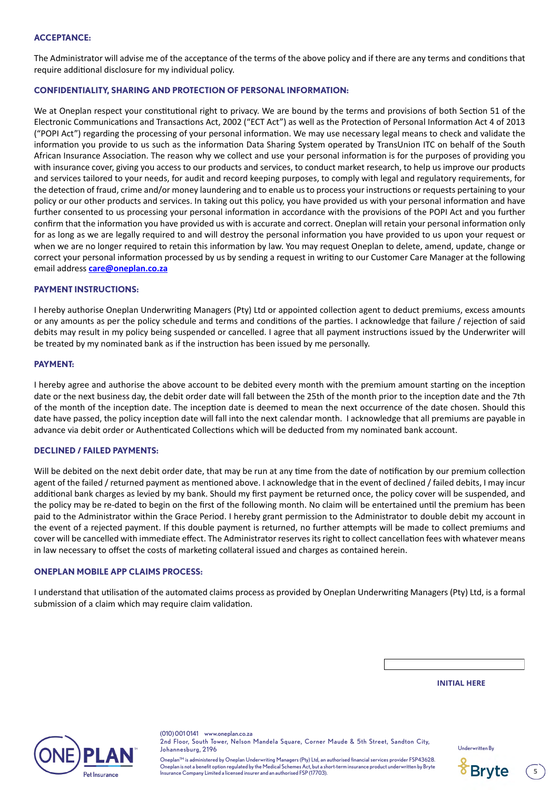### **ACCEPTANCE:**

The Administrator will advise me of the acceptance of the terms of the above policy and if there are any terms and conditions that require additional disclosure for my individual policy.

## **CONFIDENTIALITY, SHARING AND PROTECTION OF PERSONAL INFORMATION:**

We at Oneplan respect your constitutional right to privacy. We are bound by the terms and provisions of both Section 51 of the Electronic Communications and Transactions Act, 2002 ("ECT Act") as well as the Protection of Personal Information Act 4 of 2013 ("POPI Act") regarding the processing of your personal information. We may use necessary legal means to check and validate the information you provide to us such as the information Data Sharing System operated by TransUnion ITC on behalf of the South African Insurance Association. The reason why we collect and use your personal information is for the purposes of providing you with insurance cover, giving you access to our products and services, to conduct market research, to help us improve our products and services tailored to your needs, for audit and record keeping purposes, to comply with legal and regulatory requirements, for the detection of fraud, crime and/or money laundering and to enable us to process your instructions or requests pertaining to your policy or our other products and services. In taking out this policy, you have provided us with your personal information and have further consented to us processing your personal information in accordance with the provisions of the POPI Act and you further confirm that the information you have provided us with is accurate and correct. Oneplan will retain your personal information only for as long as we are legally required to and will destroy the personal information you have provided to us upon your request or when we are no longer required to retain this information by law. You may request Oneplan to delete, amend, update, change or correct your personal information processed by us by sending a request in writing to our Customer Care Manager at the following email address **[care@oneplan.co.za](mailto:care%40oneplan.co.za?subject=)**

### **PAYMENT INSTRUCTIONS:**

I hereby authorise Oneplan Underwriting Managers (Pty) Ltd or appointed collection agent to deduct premiums, excess amounts or any amounts as per the policy schedule and terms and conditions of the parties. I acknowledge that failure / rejection of said debits may result in my policy being suspended or cancelled. I agree that all payment instructions issued by the Underwriter will be treated by my nominated bank as if the instruction has been issued by me personally.

#### **PAYMENT:**

I hereby agree and authorise the above account to be debited every month with the premium amount starting on the inception date or the next business day, the debit order date will fall between the 25th of the month prior to the inception date and the 7th of the month of the inception date. The inception date is deemed to mean the next occurrence of the date chosen. Should this date have passed, the policy inception date will fall into the next calendar month. I acknowledge that all premiums are payable in advance via debit order or Authenticated Collections which will be deducted from my nominated bank account.

#### **DECLINED / FAILED PAYMENTS:**

Will be debited on the next debit order date, that may be run at any time from the date of notification by our premium collection agent of the failed / returned payment as mentioned above. I acknowledge that in the event of declined / failed debits, I may incur additional bank charges as levied by my bank. Should my first payment be returned once, the policy cover will be suspended, and the policy may be re-dated to begin on the first of the following month. No claim will be entertained until the premium has been paid to the Administrator within the Grace Period. I hereby grant permission to the Administrator to double debit my account in the event of a rejected payment. If this double payment is returned, no further attempts will be made to collect premiums and cover will be cancelled with immediate effect. The Administrator reserves its right to collect cancellation fees with whatever means in law necessary to offset the costs of marketing collateral issued and charges as contained herein.

### **ONEPLAN MOBILE APP CLAIMS PROCESS:**

I understand that utilisation of the automated claims process as provided by Oneplan Underwriting Managers (Pty) Ltd, is a formal submission of a claim which may require claim validation.

#### **INITIAL HERE**



(010) 001 0141 www.oneplan.co.za 2nd Floor, South Tower, Nelson Mandela Square, Corner Maude & 5th Street, Sandton City, Johannesburg, 2196

Underwritten By

Oneplan™ is administered by Oneplan Underwriting Managers (Pty) Ltd, an authorised financial services provider FSP43628.<br>Oneplan is not a benefit option regulated by the Medical Schemes Act, but a short-term insurance pro Insurance Company Limited a licensed insurer and an authorised FSP (17703).



**5**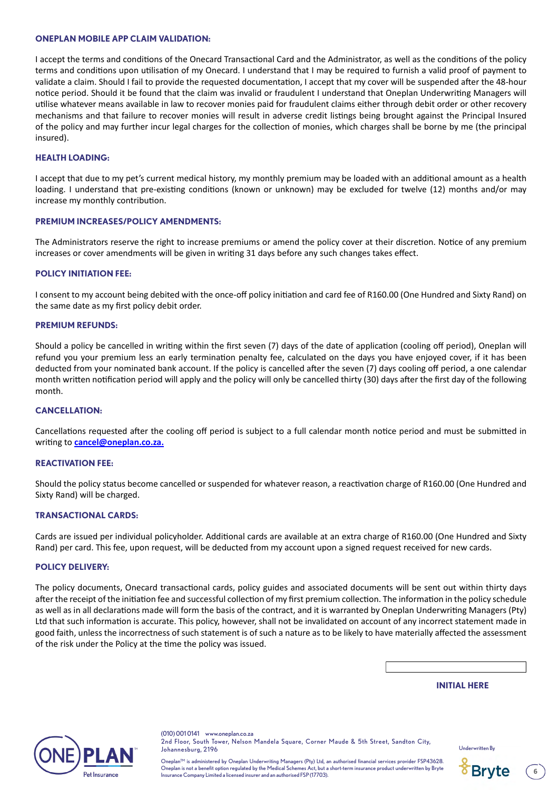#### **ONEPLAN MOBILE APP CLAIM VALIDATION:**

I accept the terms and conditions of the Onecard Transactional Card and the Administrator, as well as the conditions of the policy terms and conditions upon utilisation of my Onecard. I understand that I may be required to furnish a valid proof of payment to validate a claim. Should I fail to provide the requested documentation, I accept that my cover will be suspended after the 48-hour notice period. Should it be found that the claim was invalid or fraudulent I understand that Oneplan Underwriting Managers will utilise whatever means available in law to recover monies paid for fraudulent claims either through debit order or other recovery mechanisms and that failure to recover monies will result in adverse credit listings being brought against the Principal Insured of the policy and may further incur legal charges for the collection of monies, which charges shall be borne by me (the principal insured).

#### **HEALTH LOADING:**

I accept that due to my pet's current medical history, my monthly premium may be loaded with an additional amount as a health loading. I understand that pre-existing conditions (known or unknown) may be excluded for twelve (12) months and/or may increase my monthly contribution.

#### **PREMIUM INCREASES/POLICY AMENDMENTS:**

The Administrators reserve the right to increase premiums or amend the policy cover at their discretion. Notice of any premium increases or cover amendments will be given in writing 31 days before any such changes takes effect.

#### **POLICY INITIATION FEE:**

I consent to my account being debited with the once-off policy initiation and card fee of R160.00 (One Hundred and Sixty Rand) on the same date as my first policy debit order.

#### **PREMIUM REFUNDS:**

Should a policy be cancelled in writing within the first seven (7) days of the date of application (cooling off period), Oneplan will refund you your premium less an early termination penalty fee, calculated on the days you have enjoyed cover, if it has been deducted from your nominated bank account. If the policy is cancelled after the seven (7) days cooling off period, a one calendar month written notification period will apply and the policy will only be cancelled thirty (30) days after the first day of the following month.

#### **CANCELLATION:**

Cancellations requested after the cooling off period is subject to a full calendar month notice period and must be submitted in writing to **[cancel@oneplan.co.za.](mailto:cancel%40oneplan.co.za.%0D?subject=)**

#### **REACTIVATION FEE:**

Should the policy status become cancelled or suspended for whatever reason, a reactivation charge of R160.00 (One Hundred and Sixty Rand) will be charged.

#### **TRANSACTIONAL CARDS:**

Cards are issued per individual policyholder. Additional cards are available at an extra charge of R160.00 (One Hundred and Sixty Rand) per card. This fee, upon request, will be deducted from my account upon a signed request received for new cards.

#### **POLICY DELIVERY:**

The policy documents, Onecard transactional cards, policy guides and associated documents will be sent out within thirty days after the receipt of the initiation fee and successful collection of my first premium collection. The information in the policy schedule as well as in all declarations made will form the basis of the contract, and it is warranted by Oneplan Underwriting Managers (Pty) Ltd that such information is accurate. This policy, however, shall not be invalidated on account of any incorrect statement made in good faith, unless the incorrectness of such statement is of such a nature as to be likely to have materially affected the assessment of the risk under the Policy at the time the policy was issued.

#### **INITIAL HERE**



(010) 001 0141 www.oneplan.co.za 2nd Floor, South Tower, Nelson Mandela Square, Corner Maude & 5th Street, Sandton City, Johannesburg, 2196

Underwritten By



**6**